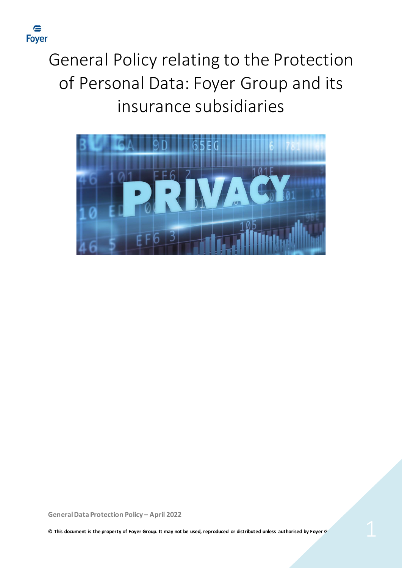

# General Policy relating to the Protection of Personal Data: Foyer Group and its insurance subsidiaries

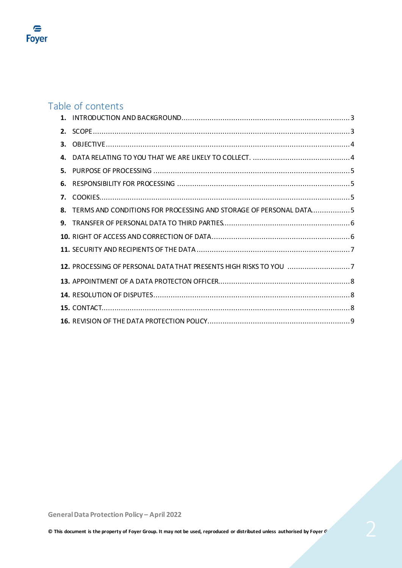

# Table of contents

| 8. TERMS AND CONDITIONS FOR PROCESSING AND STORAGE OF PERSONAL DATA5 |  |
|----------------------------------------------------------------------|--|
|                                                                      |  |
|                                                                      |  |
|                                                                      |  |
|                                                                      |  |
|                                                                      |  |
|                                                                      |  |
|                                                                      |  |
|                                                                      |  |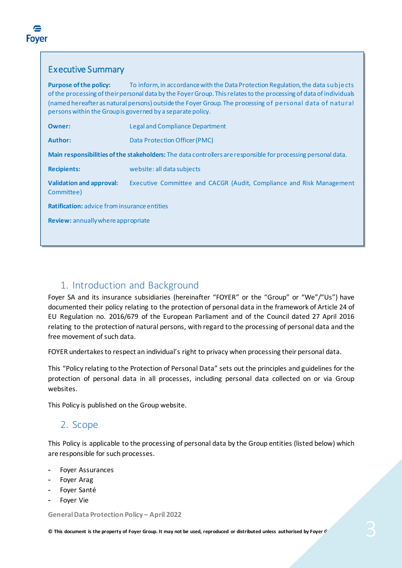#### Executive Summary

**Purpose of the policy:** To inform, in accordance with the Data Protection Regulation, the data subje cts of the processing of their personal data by the Foyer Group. This relates to the processing of data of individuals (named hereafter as natural persons) outside the Foyer Group. The processing of pe rsonal data of natural persons within the Group is governed by a separate policy.

| <b>Owner:</b>                                                                                                 | <b>Legal and Compliance Department</b>                               |  |  |
|---------------------------------------------------------------------------------------------------------------|----------------------------------------------------------------------|--|--|
| Author:                                                                                                       | Data Protection Officer (PMC)                                        |  |  |
| Main responsibilities of the stakeholders: The data controllers are responsible for processing personal data. |                                                                      |  |  |
| <b>Recipients:</b>                                                                                            | website: all data subjects                                           |  |  |
| <b>Validation and approval:</b><br>Committee)                                                                 | Executive Committee and CACGR (Audit, Compliance and Risk Management |  |  |
| <b>Ratification:</b> advice from insurance entities                                                           |                                                                      |  |  |
| Review: annually where appropriate                                                                            |                                                                      |  |  |
|                                                                                                               |                                                                      |  |  |

#### 1. Introduction and Background

Foyer SA and its insurance subsidiaries (hereinafter "FOYER" or the "Group" or "We"/"Us") have documented their policy relating to the protection of personal data in the framework of Article 24 of EU Regulation no. 2016/679 of the European Parliament and of the Council dated 27 April 2016 relating to the protection of natural persons, with regard to the processing of personal data and the free movement of such data.

FOYER undertakes to respect an individual's right to privacy when processing their personal data.

This "Policy relating to the Protection of Personal Data" sets out the principles and guidelines for the protection of personal data in all processes, including personal data collected on or via Group websites.

This Policy is published on the Group website.

#### 2. Scope

This Policy is applicable to the processing of personal data by the Group entities (listed below) which are responsible for such processes.

- Foyer Assurances
- Foyer Arag
- Foyer Santé
- Foyer Vie

**General Data Protection Policy – April 2022**

**© This document is the property of Foyer Group. It may not be used, reproduced or distributed unless authorised by Foyer Group.** 3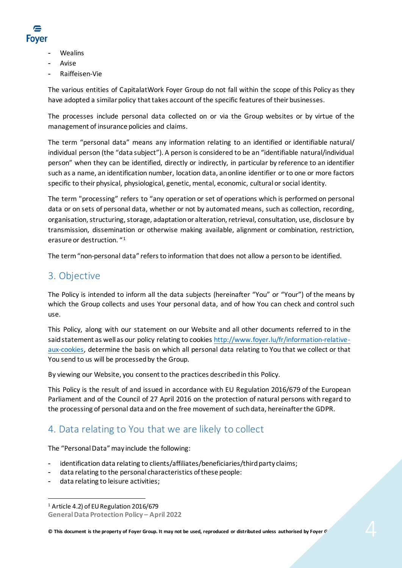

- **Wealins**
- **Avise**
- Raiffeisen-Vie

The various entities of CapitalatWork Foyer Group do not fall within the scope of this Policy as they have adopted a similar policy that takes account of the specific features of their businesses.

The processes include personal data collected on or via the Group websites or by virtue of the management of insurance policies and claims.

The term "personal data" means any information relating to an identified or identifiable natural/ individual person (the "data subject"). A person is considered to be an "identifiable natural/individual person" when they can be identified, directly or indirectly, in particular by reference to an identifier such as a name, an identification number, location data, an online identifier or to one or more factors specific to their physical, physiological, genetic, mental, economic, cultural or social identity.

The term "processing" refers to "any operation or set of operations which is performed on personal data or on sets of personal data, whether or not by automated means, such as collection, recording, organisation, structuring, storage, adaptation or alteration, retrieval, consultation, use, disclosure by transmission, dissemination or otherwise making available, alignment or combination, restriction, erasure or destruction. "[1](#page-3-0)

The term "non-personal data" refers to information that does not allow a person to be identified.

#### 3. Objective

The Policy is intended to inform all the data subjects (hereinafter "You" or "Your") of the means by which the Group collects and uses Your personal data, and of how You can check and control such use.

This Policy, along with our statement on our Website and all other documents referred to in the said statement as well as our policy relating to cookies [http://www.foyer.lu/fr/information-relative](http://www.foyer.lu/fr/information-relative-aux-cookies)[aux-cookies,](http://www.foyer.lu/fr/information-relative-aux-cookies) determine the basis on which all personal data relating to You that we collect or that You send to us will be processed by the Group.

By viewing our Website, you consent to the practices described in this Policy.

This Policy is the result of and issued in accordance with EU Regulation 2016/679 of the European Parliament and of the Council of 27 April 2016 on the protection of natural persons with regard to the processing of personal data and on the free movement of such data, hereinafter the GDPR.

# 4. Data relating to You that we are likely to collect

The "Personal Data" may include the following:

- identification data relating to clients/affiliates/beneficiaries/third party claims;
- data relating to the personal characteristics of these people:
- data relating to leisure activities;

**© This document is the property of Foyer Group. It may not be used, reproduced or distributed unless authorised by Foyer Group.** 4

<span id="page-3-0"></span>**General Data Protection Policy – April 2022** <sup>1</sup> Article 4.2) of EU Regulation 2016/679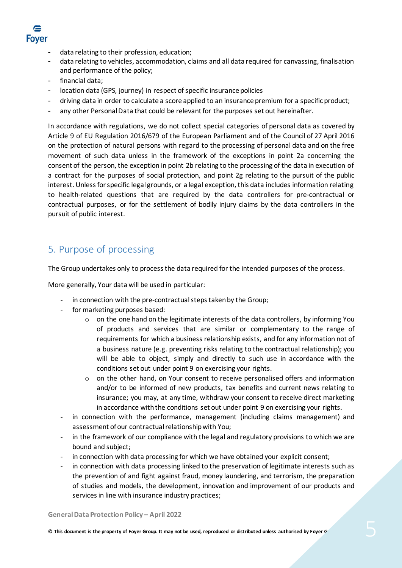

- data relating to their profession, education;
- data relating to vehicles, accommodation, claims and all data required for canvassing, finalisation and performance of the policy;
- financial data;
- location data (GPS, journey) in respect of specific insurance policies
- driving data in order to calculate a score applied to an insurance premium for a specific product;
- any other Personal Data that could be relevant for the purposes set out hereinafter.

In accordance with regulations, we do not collect special categories of personal data as covered by Article 9 of EU Regulation 2016/679 of the European Parliament and of the Council of 27 April 2016 on the protection of natural persons with regard to the processing of personal data and on the free movement of such data unless in the framework of the exceptions in point 2a concerning the consent of the person, the exception in point 2b relating to the processing of the data in execution of a contract for the purposes of social protection, and point 2g relating to the pursuit of the public interest. Unless for specific legal grounds, or a legal exception, this data includes information relating to health-related questions that are required by the data controllers for pre-contractual or contractual purposes, or for the settlement of bodily injury claims by the data controllers in the pursuit of public interest.

#### 5. Purpose of processing

The Group undertakes only to process the data required for the intended purposes of the process.

More generally, Your data will be used in particular:

- in connection with the pre-contractual steps taken by the Group;
- for marketing purposes based:
	- $\circ$  on the one hand on the legitimate interests of the data controllers, by informing You of products and services that are similar or complementary to the range of requirements for which a business relationship exists, and for any information not of a business nature (e.g. preventing risks relating to the contractual relationship); you will be able to object, simply and directly to such use in accordance with the conditions set out under point 9 on exercising your rights.
	- $\circ$  on the other hand, on Your consent to receive personalised offers and information and/or to be informed of new products, tax benefits and current news relating to insurance; you may, at any time, withdraw your consent to receive direct marketing in accordance with the conditions set out under point 9 on exercising your rights.
- in connection with the performance, management (including claims management) and assessment of our contractual relationship with You;
- in the framework of our compliance with the legal and regulatory provisions to which we are bound and subject;
- in connection with data processing for which we have obtained your explicit consent;
- in connection with data processing linked to the preservation of legitimate interests such as the prevention of and fight against fraud, money laundering, and terrorism, the preparation of studies and models, the development, innovation and improvement of our products and services in line with insurance industry practices;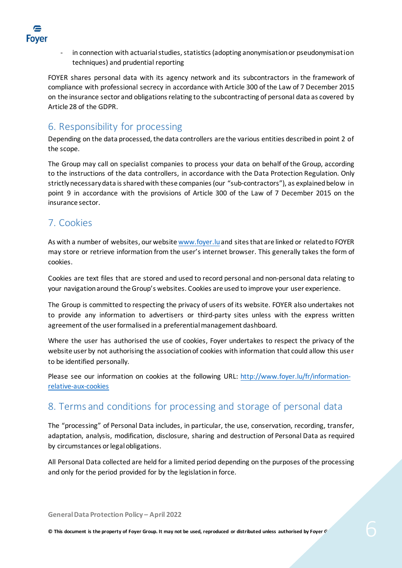

in connection with actuarial studies, statistics (adopting anonymisation or pseudonymisation techniques) and prudential reporting

FOYER shares personal data with its agency network and its subcontractors in the framework of compliance with professional secrecy in accordance with Article 300 of the Law of 7 December 2015 on the insurance sector and obligations relating to the subcontracting of personal data as covered by Article 28 of the GDPR.

# 6. Responsibility for processing

Depending on the data processed, the data controllers are the various entities described in point 2 of the scope.

The Group may call on specialist companies to process your data on behalf of the Group, according to the instructions of the data controllers, in accordance with the Data Protection Regulation. Only strictly necessary data is shared with these companies (our "sub-contractors"), as explained below in point 9 in accordance with the provisions of Article 300 of the Law of 7 December 2015 on the insurance sector.

## 7. Cookies

As with a number of websites, our websit[e www.foyer.lu](http://www.foyer.lu/)and sites that are linked or related to FOYER may store or retrieve information from the user's internet browser. This generally takes the form of cookies.

Cookies are text files that are stored and used to record personal and non-personal data relating to your navigation around the Group's websites. Cookies are used to improve your user experience.

The Group is committed to respecting the privacy of users of its website. FOYER also undertakes not to provide any information to advertisers or third-party sites unless with the express written agreement of the user formalised in a preferential management dashboard.

Where the user has authorised the use of cookies, Foyer undertakes to respect the privacy of the website user by not authorising the association of cookies with information that could allow this user to be identified personally.

Please see our information on cookies at the following URL: [http://www.foyer.lu/fr/information](http://www.foyer.lu/fr/information-relative-aux-cookies)[relative-aux-cookies](http://www.foyer.lu/fr/information-relative-aux-cookies)

#### 8. Terms and conditions for processing and storage of personal data

The "processing" of Personal Data includes, in particular, the use, conservation, recording, transfer, adaptation, analysis, modification, disclosure, sharing and destruction of Personal Data as required by circumstances or legal obligations.

All Personal Data collected are held for a limited period depending on the purposes of the processing and only for the period provided for by the legislation in force.

**General Data Protection Policy – April 2022**

**© This document is the property of Foyer Group. It may not be used, reproduced or distributed unless authorised by Foyer Group.** 6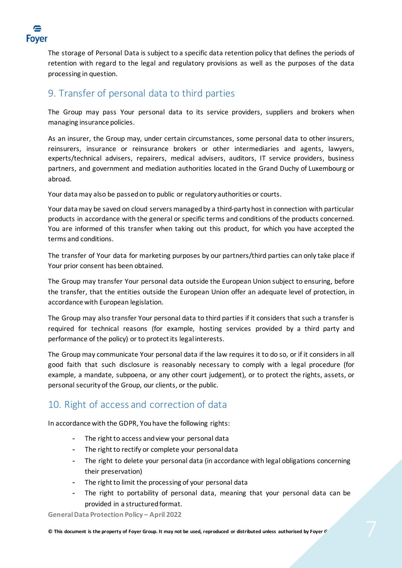

The storage of Personal Data is subject to a specific data retention policy that defines the periods of retention with regard to the legal and regulatory provisions as well as the purposes of the data processing in question.

#### 9. Transfer of personal data to third parties

The Group may pass Your personal data to its service providers, suppliers and brokers when managing insurance policies.

As an insurer, the Group may, under certain circumstances, some personal data to other insurers, reinsurers, insurance or reinsurance brokers or other intermediaries and agents, lawyers, experts/technical advisers, repairers, medical advisers, auditors, IT service providers, business partners, and government and mediation authorities located in the Grand Duchy of Luxembourg or abroad.

Your data may also be passed on to public or regulatory authorities or courts.

Your data may be saved on cloud servers managed by a third-party host in connection with particular products in accordance with the general or specific terms and conditions of the products concerned. You are informed of this transfer when taking out this product, for which you have accepted the terms and conditions.

The transfer of Your data for marketing purposes by our partners/third parties can only take place if Your prior consent has been obtained.

The Group may transfer Your personal data outside the European Union subject to ensuring, before the transfer, that the entities outside the European Union offer an adequate level of protection, in accordance with European legislation.

The Group may also transfer Your personal data to third parties if it considers that such a transfer is required for technical reasons (for example, hosting services provided by a third party and performance of the policy) or to protect its legal interests.

The Group may communicate Your personal data if the law requires it to do so, or if it considers in all good faith that such disclosure is reasonably necessary to comply with a legal procedure (for example, a mandate, subpoena, or any other court judgement), or to protect the rights, assets, or personal security of the Group, our clients, or the public.

#### 10. Right of access and correction of data

In accordance with the GDPR, You have the following rights:

- The right to access and view your personal data
- The right to rectify or complete your personal data
- The right to delete your personal data (in accordance with legal obligations concerning their preservation)
- The right to limit the processing of your personal data
- The right to portability of personal data, meaning that your personal data can be provided in a structured format.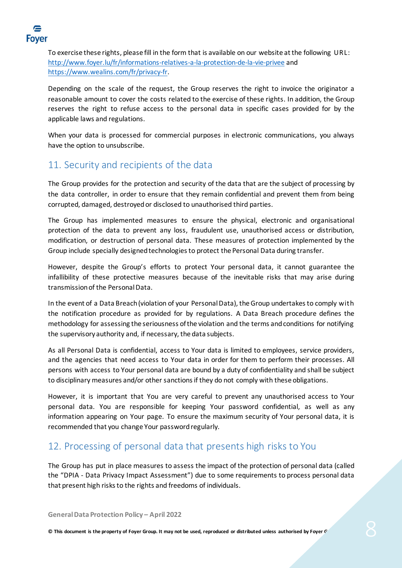

To exercise these rights, please fill in the form that is available on our website at the following URL: <http://www.foyer.lu/fr/informations-relatives-a-la-protection-de-la-vie-privee> and <https://www.wealins.com/fr/privacy-fr>.

Depending on the scale of the request, the Group reserves the right to invoice the originator a reasonable amount to cover the costs related to the exercise of these rights. In addition, the Group reserves the right to refuse access to the personal data in specific cases provided for by the applicable laws and regulations.

When your data is processed for commercial purposes in electronic communications, you always have the option to unsubscribe.

## 11. Security and recipients of the data

The Group provides for the protection and security of the data that are the subject of processing by the data controller, in order to ensure that they remain confidential and prevent them from being corrupted, damaged, destroyed or disclosed to unauthorised third parties.

The Group has implemented measures to ensure the physical, electronic and organisational protection of the data to prevent any loss, fraudulent use, unauthorised access or distribution, modification, or destruction of personal data. These measures of protection implemented by the Group include specially designed technologies to protect the Personal Data during transfer.

However, despite the Group's efforts to protect Your personal data, it cannot guarantee the infallibility of these protective measures because of the inevitable risks that may arise during transmission of the Personal Data.

In the event of a Data Breach (violation of your Personal Data), the Group undertakes to comply with the notification procedure as provided for by regulations. A Data Breach procedure defines the methodology for assessing the seriousness of the violation and the terms and conditions for notifying the supervisory authority and, if necessary, the data subjects.

As all Personal Data is confidential, access to Your data is limited to employees, service providers, and the agencies that need access to Your data in order for them to perform their processes. All persons with access to Your personal data are bound by a duty of confidentiality and shall be subject to disciplinary measures and/or other sanctions if they do not comply with these obligations.

However, it is important that You are very careful to prevent any unauthorised access to Your personal data. You are responsible for keeping Your password confidential, as well as any information appearing on Your page. To ensure the maximum security of Your personal data, it is recommended that you change Your password regularly.

#### 12. Processing of personal data that presents high risks to You

The Group has put in place measures to assess the impact of the protection of personal data (called the "DPIA - Data Privacy Impact Assessment") due to some requirements to process personal data that present high risks to the rights and freedoms of individuals.